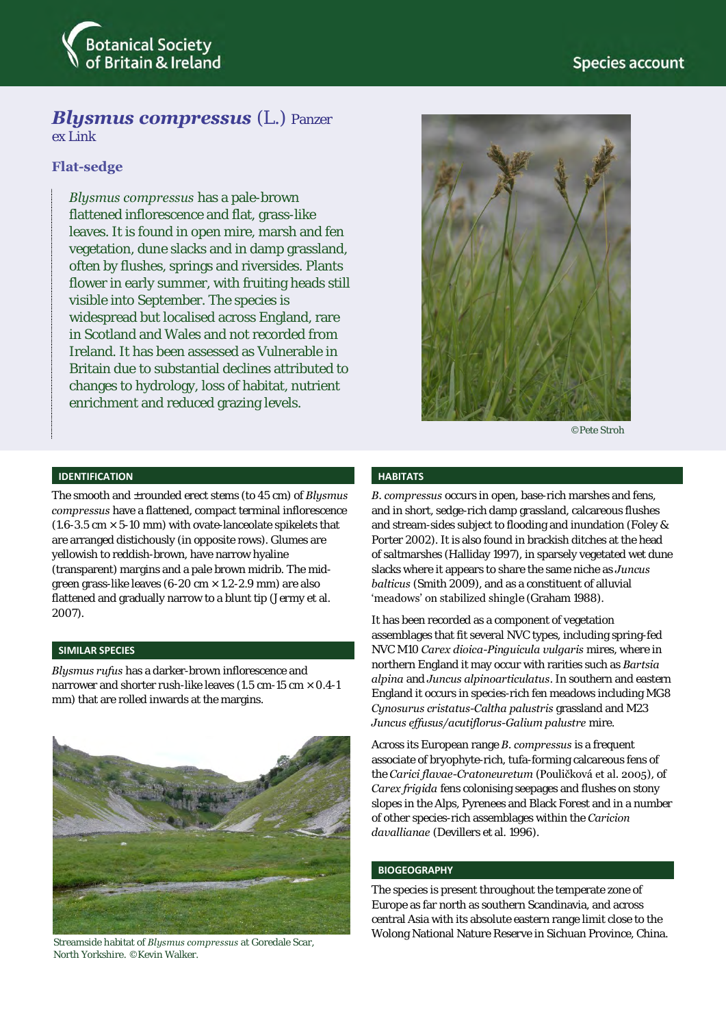

# *Blysmus compressus* (L.) Panzer

ex Link

# **Flat-sedge**

*Blysmus compressus* has a pale-brown flattened inflorescence and flat, grass-like leaves. It is found in open mire, marsh and fen vegetation, dune slacks and in damp grassland, often by flushes, springs and riversides. Plants flower in early summer, with fruiting heads still visible into September. The species is widespread but localised across England, rare in Scotland and Wales and not recorded from Ireland. It has been assessed as Vulnerable in Britain due to substantial declines attributed to changes to hydrology, loss of habitat, nutrient enrichment and reduced grazing levels.



©Pete Stroh

## **IDENTIFICATION**

The smooth and ±rounded erect stems (to 45 cm) of *Blysmus compressus* have a flattened, compact terminal inflorescence (1.6-3.5 cm  $\times$  5-10 mm) with ovate-lanceolate spikelets that are arranged distichously (in opposite rows). Glumes are yellowish to reddish-brown, have narrow hyaline (transparent) margins and a pale brown midrib. The midgreen grass-like leaves (6-20 cm × 1.2-2.9 mm) are also flattened and gradually narrow to a blunt tip (Jermy et al. 2007).

#### **SIMILAR SPECIES**

*Blysmus rufus* has a darker-brown inflorescence and narrower and shorter rush-like leaves (1.5 cm-15 cm × 0.4-1 mm) that are rolled inwards at the margins.



Streamside habitat of *Blysmus compressus* at Goredale Scar, North Yorkshire. ©Kevin Walker.

#### **HABITATS**

*B. compressus* occurs in open, base-rich marshes and fens, and in short, sedge-rich damp grassland, calcareous flushes and stream-sides subject to flooding and inundation (Foley & Porter 2002). It is also found in brackish ditches at the head of saltmarshes (Halliday 1997), in sparsely vegetated wet dune slacks where it appears to share the same niche as *Juncus balticus* (Smith 2009), and as a constituent of alluvial 'meadows' on stabilized shingle (Graham 1988).

It has been recorded as a component of vegetation assemblages that fit several NVC types, including spring-fed NVC M10 *Carex dioica-Pinguicula vulgaris* mires, where in northern England it may occur with rarities such as *Bartsia alpina* and *Juncus alpinoarticulatus*. In southern and eastern England it occurs in species-rich fen meadows including MG8 *Cynosurus cristatus-Caltha palustris* grassland and M23 *Juncus effusus/acutiflorus-Galium palustre* mire.

Across its European range *B. compressus* is a frequent associate of bryophyte-rich, tufa-forming calcareous fens of the *Carici flavae-Cratoneuretum* (Pouličková et al. 2005), of *Carex frigida* fens colonising seepages and flushes on stony slopes in the Alps, Pyrenees and Black Forest and in a number of other species-rich assemblages within the *Caricion davallianae* (Devillers et al. 1996).

# **BIOGEOGRAPHY**

The species is present throughout the temperate zone of Europe as far north as southern Scandinavia, and across central Asia with its absolute eastern range limit close to the Wolong National Nature Reserve in Sichuan Province, China.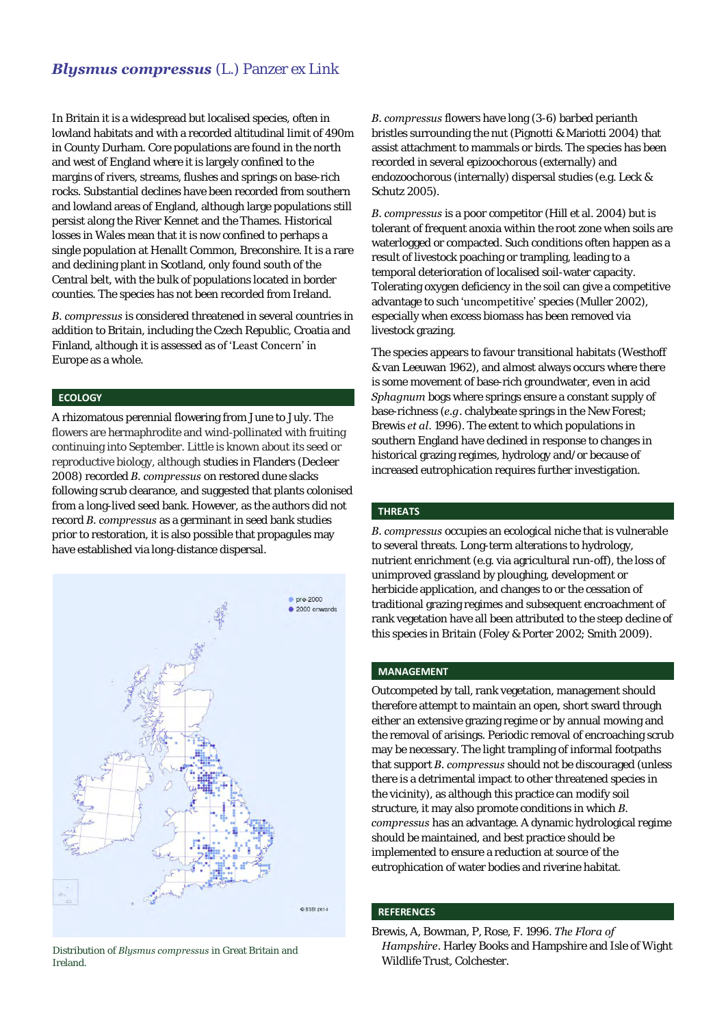# *Blysmus compressus* (L.) Panzer ex Link

In Britain it is a widespread but localised species, often in lowland habitats and with a recorded altitudinal limit of 490m in County Durham. Core populations are found in the north and west of England where it is largely confined to the margins of rivers, streams, flushes and springs on base-rich rocks. Substantial declines have been recorded from southern and lowland areas of England, although large populations still persist along the River Kennet and the Thames. Historical losses in Wales mean that it is now confined to perhaps a single population at Henallt Common, Breconshire. It is a rare and declining plant in Scotland, only found south of the Central belt, with the bulk of populations located in border counties. The species has not been recorded from Ireland.

*B. compressus* is considered threatened in several countries in addition to Britain, including the Czech Republic, Croatia and Finland, although it is assessed as of 'Least Concern' in Europe as a whole.

# **ECOLOGY**

A rhizomatous perennial flowering from June to July. The flowers are hermaphrodite and wind-pollinated with fruiting continuing into September. Little is known about its seed or reproductive biology, although studies in Flanders (Decleer 2008) recorded *B. compressus* on restored dune slacks following scrub clearance, and suggested that plants colonised from a long-lived seed bank. However, as the authors did not record *B. compressus* as a germinant in seed bank studies prior to restoration, it is also possible that propagules may have established via long-distance dispersal.



Distribution of *Blysmus compressus* in Great Britain and Ireland.

*B. compressus* flowers have long (3-6) barbed perianth bristles surrounding the nut (Pignotti & Mariotti 2004) that assist attachment to mammals or birds. The species has been recorded in several epizoochorous (externally) and endozoochorous (internally) dispersal studies (e.g. Leck & Schutz 2005).

*B. compressus* is a poor competitor (Hill et al. 2004) but is tolerant of frequent anoxia within the root zone when soils are waterlogged or compacted. Such conditions often happen as a result of livestock poaching or trampling, leading to a temporal deterioration of localised soil-water capacity. Tolerating oxygen deficiency in the soil can give a competitive advantage to such 'uncompetitive' species (Muller 2002), especially when excess biomass has been removed via livestock grazing.

The species appears to favour transitional habitats (Westhoff & van Leeuwan 1962), and almost always occurs where there is some movement of base-rich groundwater, even in acid *Sphagnum* bogs where springs ensure a constant supply of base-richness (*e.g*. chalybeate springs in the New Forest; Brewis *et al*. 1996). The extent to which populations in southern England have declined in response to changes in historical grazing regimes, hydrology and/or because of increased eutrophication requires further investigation.

## **THREATS**

*B. compressus* occupies an ecological niche that is vulnerable to several threats. Long-term alterations to hydrology, nutrient enrichment (e.g. via agricultural run-off), the loss of unimproved grassland by ploughing, development or herbicide application, and changes to or the cessation of traditional grazing regimes and subsequent encroachment of rank vegetation have all been attributed to the steep decline of this species in Britain (Foley & Porter 2002; Smith 2009).

#### **MANAGEMENT**

Outcompeted by tall, rank vegetation, management should therefore attempt to maintain an open, short sward through either an extensive grazing regime or by annual mowing and the removal of arisings. Periodic removal of encroaching scrub may be necessary. The light trampling of informal footpaths that support *B. compressus* should not be discouraged (unless there is a detrimental impact to other threatened species in the vicinity), as although this practice can modify soil structure, it may also promote conditions in which *B. compressus* has an advantage. A dynamic hydrological regime should be maintained, and best practice should be implemented to ensure a reduction at source of the eutrophication of water bodies and riverine habitat.

## **REFERENCES**

Brewis, A, Bowman, P, Rose, F. 1996. *The Flora of Hampshire*. Harley Books and Hampshire and Isle of Wight Wildlife Trust, Colchester.